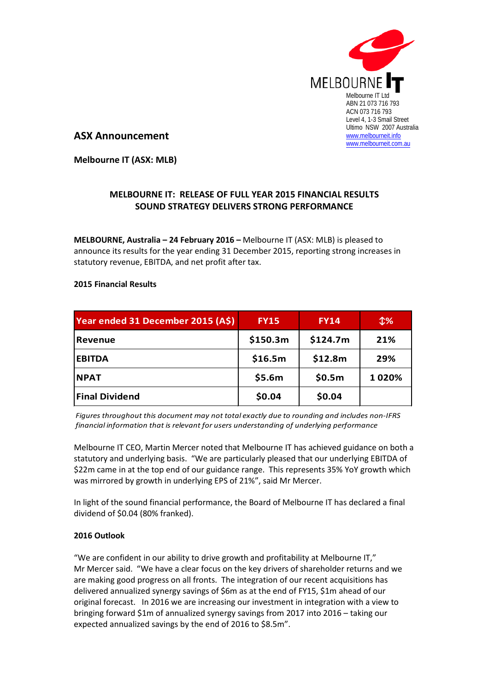

**ASX Announcement**

**Melbourne IT (ASX: MLB)**

## **MELBOURNE IT: RELEASE OF FULL YEAR 2015 FINANCIAL RESULTS SOUND STRATEGY DELIVERS STRONG PERFORMANCE**

**MELBOURNE, Australia – 24 February 2016 –** Melbourne IT (ASX: MLB) is pleased to announce its results for the year ending 31 December 2015, reporting strong increases in statutory revenue, EBITDA, and net profit after tax.

## **2015 Financial Results**

| Year ended 31 December 2015 (A\$) | <b>FY15</b> | <b>FY14</b> | $\mathcal{L}\%$ |
|-----------------------------------|-------------|-------------|-----------------|
| <b>Revenue</b>                    | \$150.3m    | \$124.7m    | 21%             |
| <b>EBITDA</b>                     | \$16.5m     | \$12.8m     | 29%             |
| <b>NPAT</b>                       | \$5.6m      | \$0.5m      | 1020%           |
| <b>Final Dividend</b>             | \$0.04      | \$0.04      |                 |

*Figures throughout this document may not total exactly due to rounding and includes non-IFRS financial information that is relevant for users understanding of underlying performance*

Melbourne IT CEO, Martin Mercer noted that Melbourne IT has achieved guidance on both a statutory and underlying basis. "We are particularly pleased that our underlying EBITDA of \$22m came in at the top end of our guidance range. This represents 35% YoY growth which was mirrored by growth in underlying EPS of 21%", said Mr Mercer.

In light of the sound financial performance, the Board of Melbourne IT has declared a final dividend of \$0.04 (80% franked).

## **2016 Outlook**

"We are confident in our ability to drive growth and profitability at Melbourne IT," Mr Mercer said. "We have a clear focus on the key drivers of shareholder returns and we are making good progress on all fronts. The integration of our recent acquisitions has delivered annualized synergy savings of \$6m as at the end of FY15, \$1m ahead of our original forecast. In 2016 we are increasing our investment in integration with a view to bringing forward \$1m of annualized synergy savings from 2017 into 2016 – taking our expected annualized savings by the end of 2016 to \$8.5m".